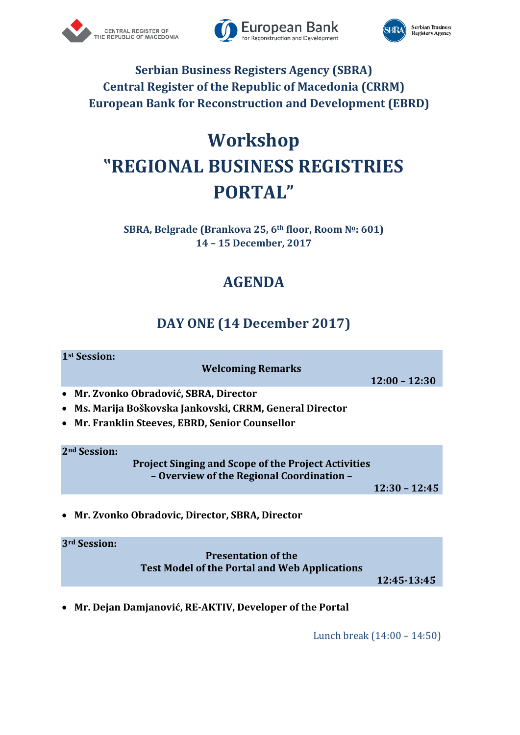





### **Serbian Business Registers Agency (SBRA) Central Register of the Republic of Macedonia (CRRM) European Bank for Reconstruction and Development (EBRD)**

# **Workshop "REGIONAL BUSINESS REGISTRIES PORTAL"**

### **SBRA, Belgrade (Brankova 25, 6th floor, Room №: 601) 14 – 15 December, 2017**

## **AGENDA**

### **DAY ONE (14 December 2017)**

#### **1st Session:**

**Welcoming Remarks**

**12:00 – 12:30**

- **Mr. Zvonko Obradović, SBRA, Director**
- **Ms. Marija Boškovska Jankovski, CRRM, General Director**
- **Mr. Franklin Steeves, EBRD, Senior Counsellor**

**2nd Session:**

**Project Singing and Scope of the Project Activities – Overview of the Regional Coordination –**

**12:30 – 12:45**

**Mr. Zvonko Obradovic, Director, SBRA, Director**

**3rd Session: Presentation of the Test Model of the Portal and Web Applications**

**12:45-13:45**

**Mr. Dejan Damjanović, RE-AKTIV, Developer of the Portal**

Lunch break (14:00 – 14:50)